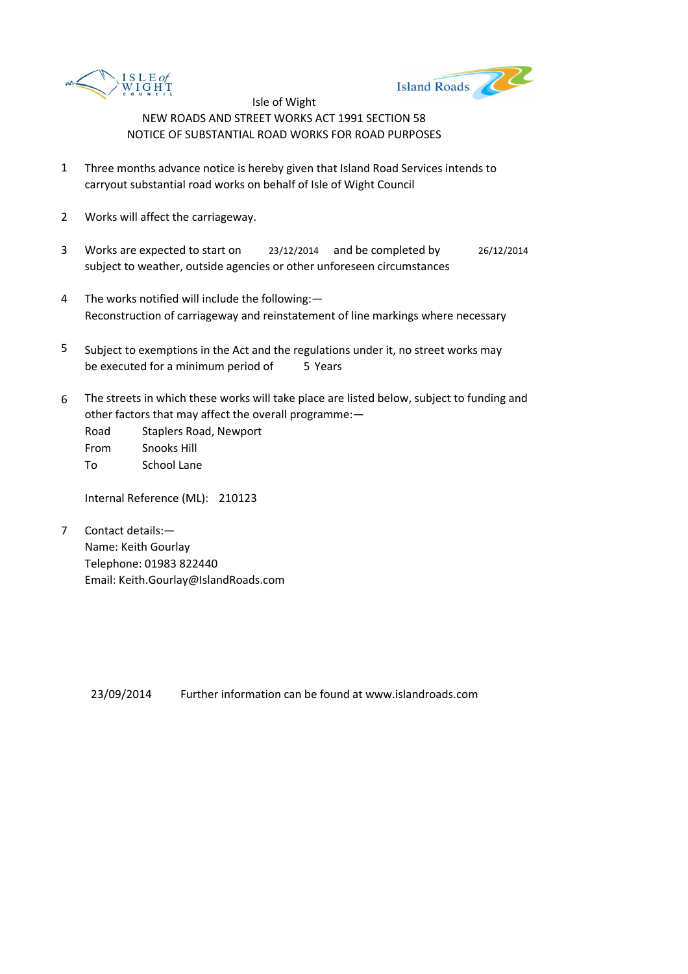



- 1 Three months advance notice is hereby given that Island Road Services intends to carryout substantial road works on behalf of Isle of Wight Council
- 2 Works will affect the carriageway.
- 3 Works are expected to start on <br>23/12/2014 and be completed by 26/12/2014 subject to weather, outside agencies or other unforeseen circumstances
- 4 The works notified will include the following:— Reconstruction of carriageway and reinstatement of line markings where necessary
- 5 be executed for a minimum period of 5 Years Subject to exemptions in the Act and the regulations under it, no street works may
- 6 The streets in which these works will take place are listed below, subject to funding and other factors that may affect the overall programme:—

Road Staplers Road, Newport From Snooks Hill To School Lane

Internal Reference (ML): 210123

7 Contact details:— Name: Keith Gourlay Telephone: 01983 822440 Email: Keith.Gourlay@IslandRoads.com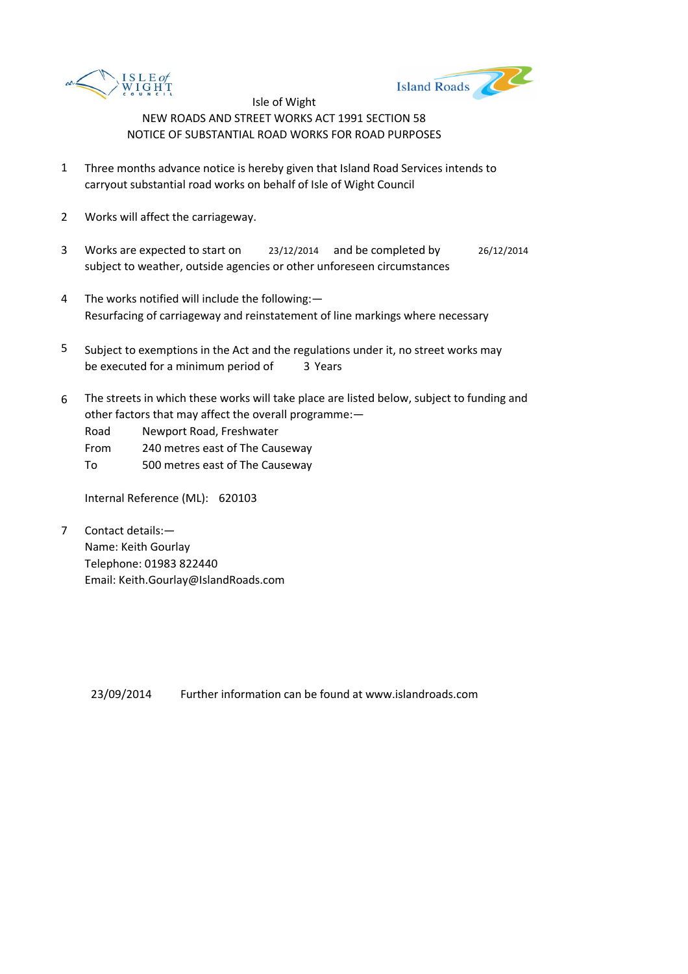



- 1 Three months advance notice is hereby given that Island Road Services intends to carryout substantial road works on behalf of Isle of Wight Council
- 2 Works will affect the carriageway.
- 3 Works are expected to start on <br>23/12/2014 and be completed by 26/12/2014 subject to weather, outside agencies or other unforeseen circumstances
- 4 The works notified will include the following:— Resurfacing of carriageway and reinstatement of line markings where necessary
- 5 be executed for a minimum period of 3 Years Subject to exemptions in the Act and the regulations under it, no street works may
- 6 The streets in which these works will take place are listed below, subject to funding and other factors that may affect the overall programme:—

Road Newport Road, Freshwater

- From 240 metres east of The Causeway
- To 500 metres east of The Causeway

Internal Reference (ML): 620103

7 Contact details:— Name: Keith Gourlay Telephone: 01983 822440 Email: Keith.Gourlay@IslandRoads.com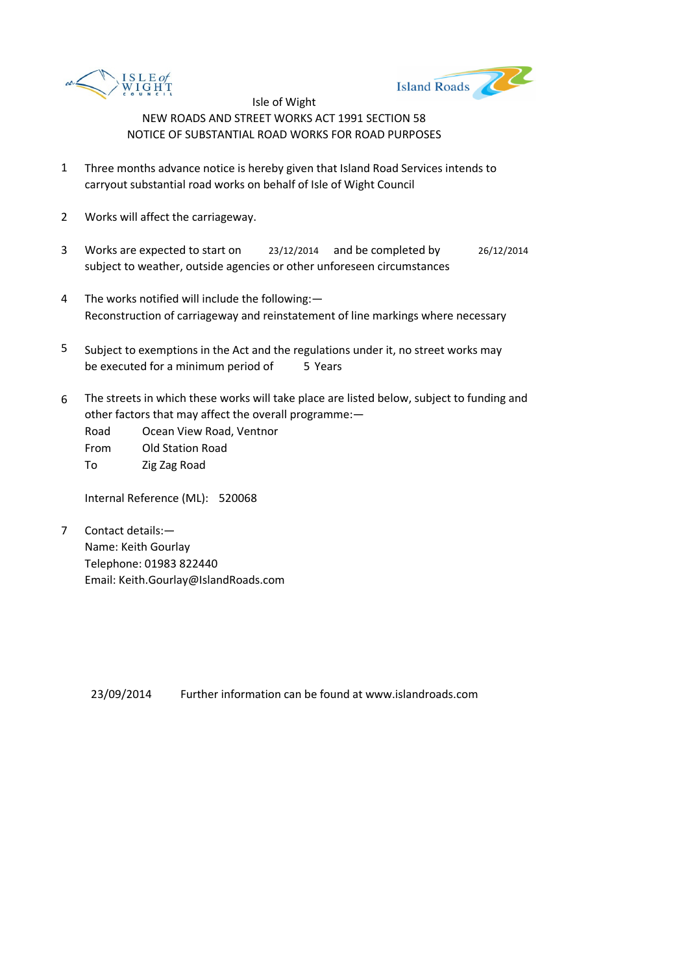



- 1 Three months advance notice is hereby given that Island Road Services intends to carryout substantial road works on behalf of Isle of Wight Council
- 2 Works will affect the carriageway.
- 3 Works are expected to start on <br>23/12/2014 and be completed by 26/12/2014 subject to weather, outside agencies or other unforeseen circumstances
- 4 The works notified will include the following:— Reconstruction of carriageway and reinstatement of line markings where necessary
- 5 be executed for a minimum period of 5 Years Subject to exemptions in the Act and the regulations under it, no street works may
- 6 The streets in which these works will take place are listed below, subject to funding and other factors that may affect the overall programme:—

Road Ocean View Road, Ventnor

From Old Station Road To Zig Zag Road

Internal Reference (ML): 520068

7 Contact details:— Name: Keith Gourlay Telephone: 01983 822440 Email: Keith.Gourlay@IslandRoads.com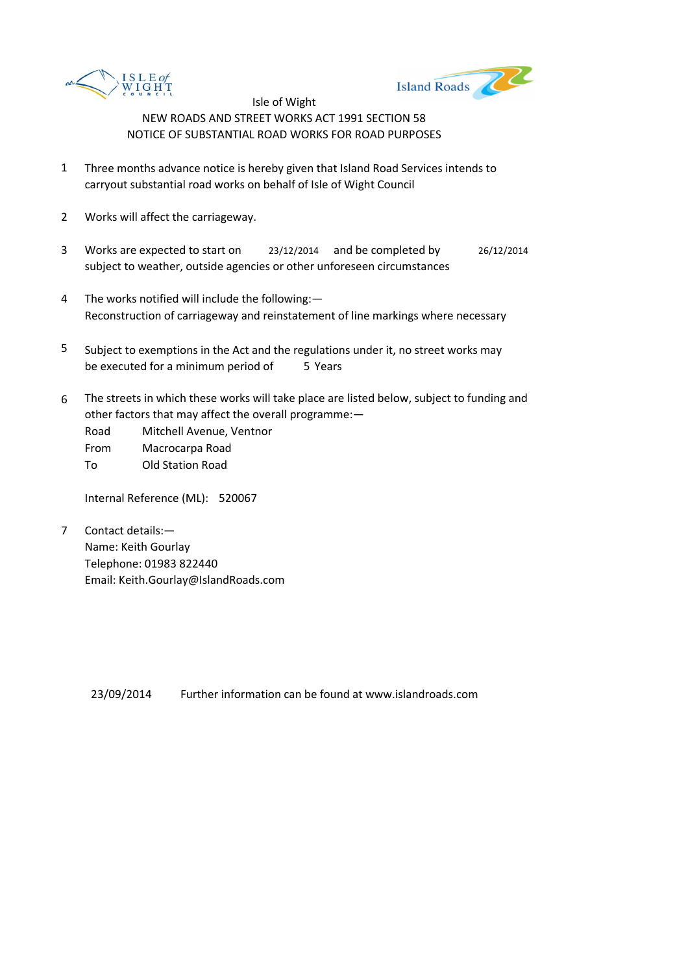



- 1 Three months advance notice is hereby given that Island Road Services intends to carryout substantial road works on behalf of Isle of Wight Council
- 2 Works will affect the carriageway.
- 3 Works are expected to start on <br>23/12/2014 and be completed by 26/12/2014 subject to weather, outside agencies or other unforeseen circumstances
- 4 The works notified will include the following:— Reconstruction of carriageway and reinstatement of line markings where necessary
- 5 be executed for a minimum period of 5 Years Subject to exemptions in the Act and the regulations under it, no street works may
- 6 The streets in which these works will take place are listed below, subject to funding and other factors that may affect the overall programme:—

Road Mitchell Avenue, Ventnor

From Macrocarpa Road

To Old Station Road

Internal Reference (ML): 520067

7 Contact details:— Name: Keith Gourlay Telephone: 01983 822440 Email: Keith.Gourlay@IslandRoads.com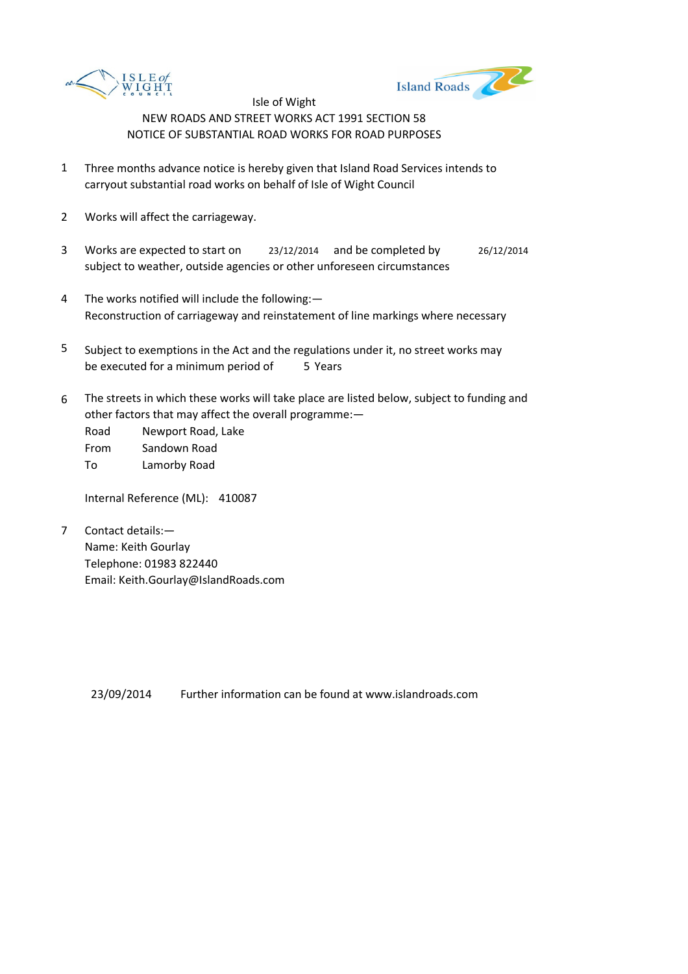



- 1 Three months advance notice is hereby given that Island Road Services intends to carryout substantial road works on behalf of Isle of Wight Council
- 2 Works will affect the carriageway.
- 3 Works are expected to start on <br>23/12/2014 and be completed by 26/12/2014 subject to weather, outside agencies or other unforeseen circumstances
- 4 The works notified will include the following:— Reconstruction of carriageway and reinstatement of line markings where necessary
- 5 be executed for a minimum period of 5 Years Subject to exemptions in the Act and the regulations under it, no street works may
- 6 The streets in which these works will take place are listed below, subject to funding and other factors that may affect the overall programme:—

Road Newport Road, Lake From Sandown Road To Lamorby Road

Internal Reference (ML): 410087

7 Contact details:— Name: Keith Gourlay Telephone: 01983 822440 Email: Keith.Gourlay@IslandRoads.com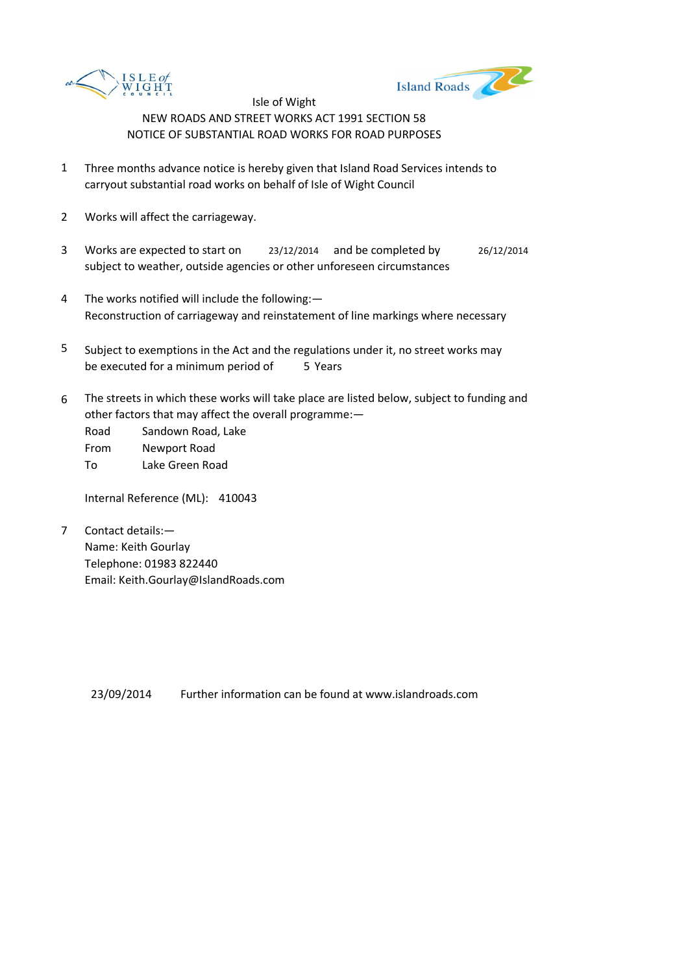



- 1 Three months advance notice is hereby given that Island Road Services intends to carryout substantial road works on behalf of Isle of Wight Council
- 2 Works will affect the carriageway.
- 3 Works are expected to start on <br>23/12/2014 and be completed by 26/12/2014 subject to weather, outside agencies or other unforeseen circumstances
- 4 The works notified will include the following:— Reconstruction of carriageway and reinstatement of line markings where necessary
- 5 be executed for a minimum period of 5 Years Subject to exemptions in the Act and the regulations under it, no street works may
- 6 The streets in which these works will take place are listed below, subject to funding and other factors that may affect the overall programme:—

Road Sandown Road, Lake From Newport Road To Lake Green Road

Internal Reference (ML): 410043

7 Contact details:— Name: Keith Gourlay Telephone: 01983 822440 Email: Keith.Gourlay@IslandRoads.com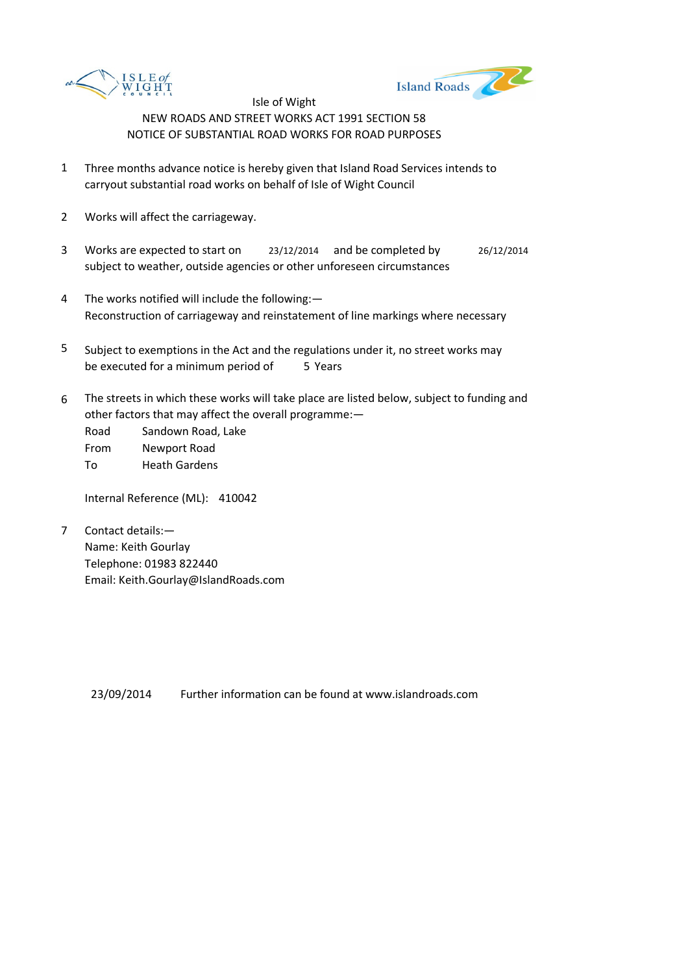



- 1 Three months advance notice is hereby given that Island Road Services intends to carryout substantial road works on behalf of Isle of Wight Council
- 2 Works will affect the carriageway.
- 3 Works are expected to start on <br>23/12/2014 and be completed by 26/12/2014 subject to weather, outside agencies or other unforeseen circumstances
- 4 The works notified will include the following:— Reconstruction of carriageway and reinstatement of line markings where necessary
- 5 be executed for a minimum period of 5 Years Subject to exemptions in the Act and the regulations under it, no street works may
- 6 The streets in which these works will take place are listed below, subject to funding and other factors that may affect the overall programme:—

Road Sandown Road, Lake From Newport Road To Heath Gardens

Internal Reference (ML): 410042

7 Contact details:— Name: Keith Gourlay Telephone: 01983 822440 Email: Keith.Gourlay@IslandRoads.com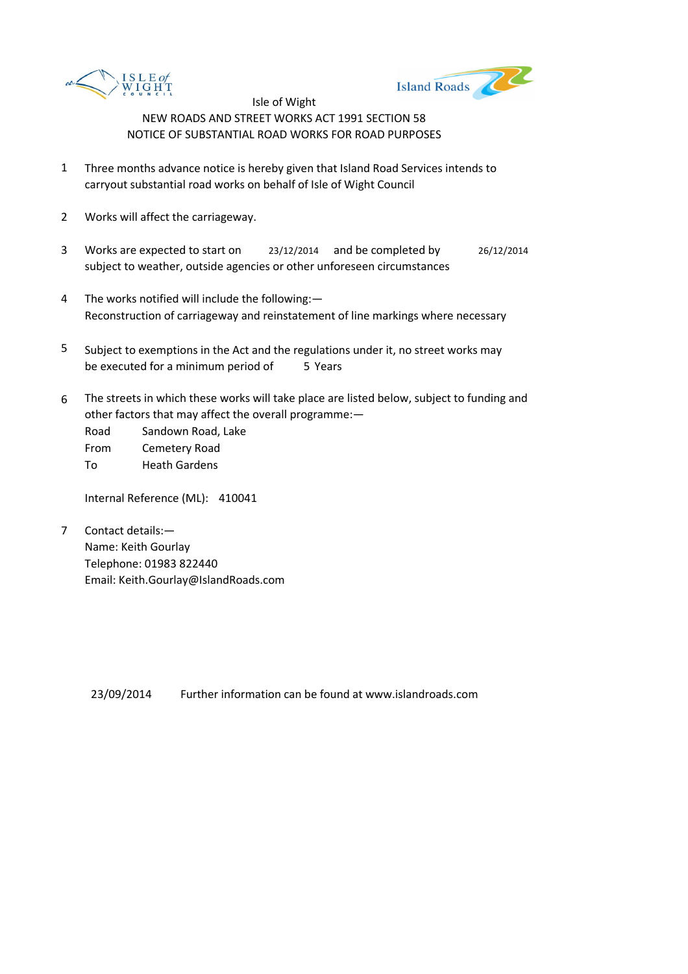



- 1 Three months advance notice is hereby given that Island Road Services intends to carryout substantial road works on behalf of Isle of Wight Council
- 2 Works will affect the carriageway.
- 3 Works are expected to start on <br>23/12/2014 and be completed by 26/12/2014 subject to weather, outside agencies or other unforeseen circumstances
- 4 The works notified will include the following:— Reconstruction of carriageway and reinstatement of line markings where necessary
- 5 be executed for a minimum period of 5 Years Subject to exemptions in the Act and the regulations under it, no street works may
- 6 The streets in which these works will take place are listed below, subject to funding and other factors that may affect the overall programme:—

Road Sandown Road, Lake From Cemetery Road To Heath Gardens

Internal Reference (ML): 410041

7 Contact details:— Name: Keith Gourlay Telephone: 01983 822440 Email: Keith.Gourlay@IslandRoads.com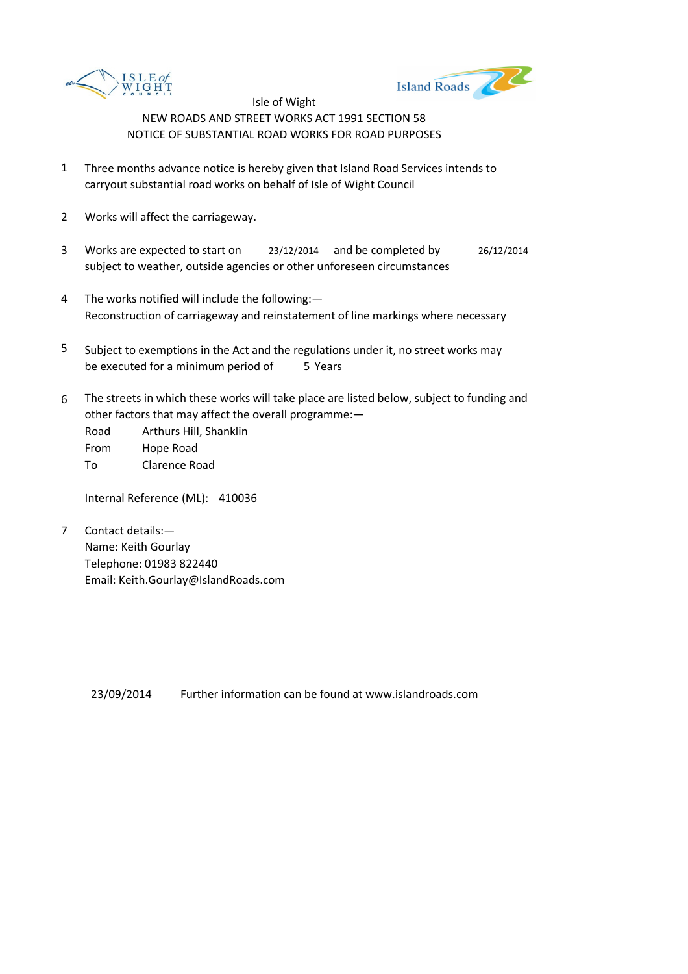



- 1 Three months advance notice is hereby given that Island Road Services intends to carryout substantial road works on behalf of Isle of Wight Council
- 2 Works will affect the carriageway.
- 3 Works are expected to start on <br>23/12/2014 and be completed by 26/12/2014 subject to weather, outside agencies or other unforeseen circumstances
- 4 The works notified will include the following:— Reconstruction of carriageway and reinstatement of line markings where necessary
- 5 be executed for a minimum period of 5 Years Subject to exemptions in the Act and the regulations under it, no street works may
- 6 The streets in which these works will take place are listed below, subject to funding and other factors that may affect the overall programme:—

Road Arthurs Hill, Shanklin From Hope Road To Clarence Road

Internal Reference (ML): 410036

7 Contact details:— Name: Keith Gourlay Telephone: 01983 822440 Email: Keith.Gourlay@IslandRoads.com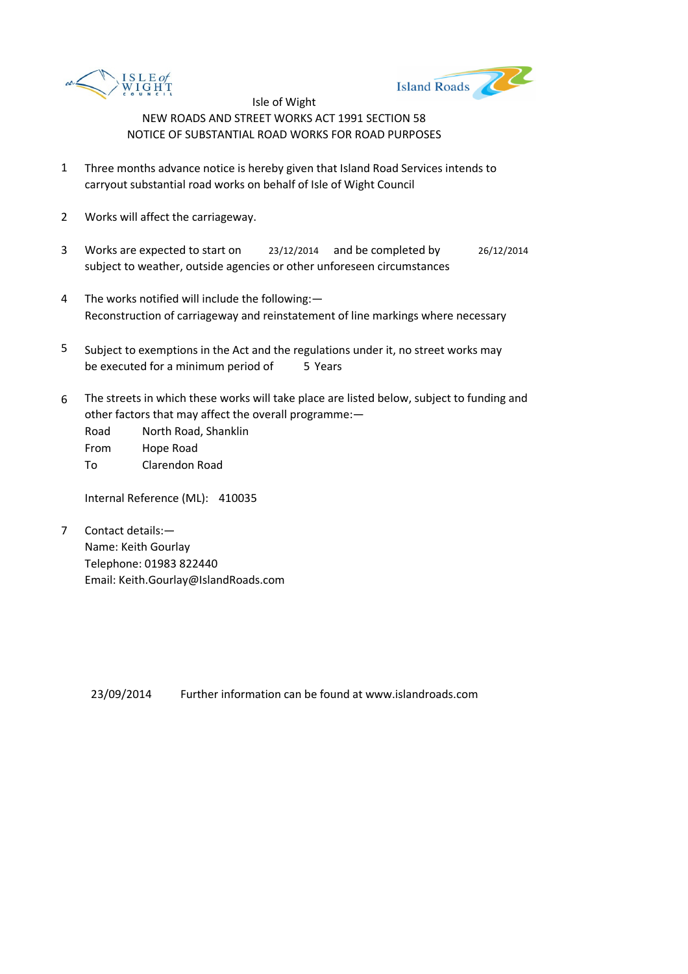



- 1 Three months advance notice is hereby given that Island Road Services intends to carryout substantial road works on behalf of Isle of Wight Council
- 2 Works will affect the carriageway.
- 3 Works are expected to start on <br>23/12/2014 and be completed by 26/12/2014 subject to weather, outside agencies or other unforeseen circumstances
- 4 The works notified will include the following:— Reconstruction of carriageway and reinstatement of line markings where necessary
- 5 be executed for a minimum period of 5 Years Subject to exemptions in the Act and the regulations under it, no street works may
- 6 The streets in which these works will take place are listed below, subject to funding and other factors that may affect the overall programme:—

Road North Road, Shanklin From Hope Road To Clarendon Road

Internal Reference (ML): 410035

7 Contact details:— Name: Keith Gourlay Telephone: 01983 822440 Email: Keith.Gourlay@IslandRoads.com